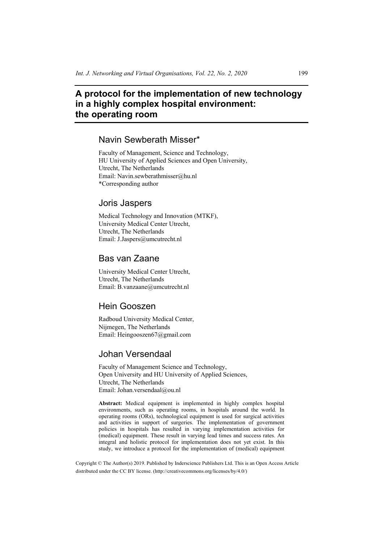# **A protocol for the implementation of new technology in a highly complex hospital environment: the operating room**

## Navin Sewberath Misser\*

Faculty of Management, Science and Technology, HU University of Applied Sciences and Open University, Utrecht, The Netherlands Email: Navin.sewberathmisser@hu.nl \*Corresponding author

## Joris Jaspers

Medical Technology and Innovation (MTKF), University Medical Center Utrecht, Utrecht, The Netherlands Email: J.Jaspers@umcutrecht.nl

# Bas van Zaane

University Medical Center Utrecht, Utrecht, The Netherlands Email: B.vanzaane@umcutrecht.nl

# Hein Gooszen

Radboud University Medical Center, Nijmegen, The Netherlands Email: Heingooszen67@gmail.com

## Johan Versendaal

Faculty of Management Science and Technology, Open University and HU University of Applied Sciences, Utrecht, The Netherlands Email: Johan.versendaal@ou.nl

**Abstract:** Medical equipment is implemented in highly complex hospital environments, such as operating rooms, in hospitals around the world. In operating rooms (ORs), technological equipment is used for surgical activities and activities in support of surgeries. The implementation of government policies in hospitals has resulted in varying implementation activities for (medical) equipment. These result in varying lead times and success rates. An integral and holistic protocol for implementation does not yet exist. In this study, we introduce a protocol for the implementation of (medical) equipment

 Copyright © The Author(s) 2019. Published by Inderscience Publishers Ltd. This is an Open Access Article distributed under the CC BY license. (http://creativecommons.org/licenses/by/4.0/)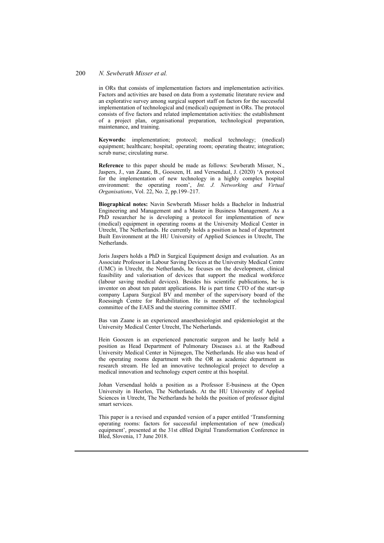#### 200 *N. Sewberath Misser et al.*

in ORs that consists of implementation factors and implementation activities. Factors and activities are based on data from a systematic literature review and an explorative survey among surgical support staff on factors for the successful implementation of technological and (medical) equipment in ORs. The protocol consists of five factors and related implementation activities: the establishment of a project plan, organisational preparation, technological preparation, maintenance, and training.

**Keywords:** implementation; protocol; medical technology; (medical) equipment; healthcare; hospital; operating room; operating theatre; integration; scrub nurse; circulating nurse.

**Reference** to this paper should be made as follows: Sewberath Misser, N., Jaspers, J., van Zaane, B., Gooszen, H. and Versendaal, J. (2020) 'A protocol for the implementation of new technology in a highly complex hospital environment: the operating room', *Int. J. Networking and Virtual Organisations*, Vol. 22, No. 2, pp.199–217.

**Biographical notes:** Navin Sewberath Misser holds a Bachelor in Industrial Engineering and Management and a Master in Business Management. As a PhD researcher he is developing a protocol for implementation of new (medical) equipment in operating rooms at the University Medical Center in Utrecht, The Netherlands. He currently holds a position as head of department Built Environment at the HU University of Applied Sciences in Utrecht, The Netherlands.

Joris Jaspers holds a PhD in Surgical Equipment design and evaluation. As an Associate Professor in Labour Saving Devices at the University Medical Centre (UMC) in Utrecht, the Netherlands, he focuses on the development, clinical feasibility and valorisation of devices that support the medical workforce (labour saving medical devices). Besides his scientific publications, he is inventor on about ten patent applications. He is part time CTO of the start-up company Lapara Surgical BV and member of the supervisory board of the Roessingh Centre for Rehabilitation. He is member of the technological committee of the EAES and the steering committee iSMIT.

Bas van Zaane is an experienced anaesthesiologist and epidemiologist at the University Medical Center Utrecht, The Netherlands.

Hein Gooszen is an experienced pancreatic surgeon and he lastly held a position as Head Department of Pulmonary Diseases a.i. at the Radboud University Medical Center in Nijmegen, The Netherlands. He also was head of the operating rooms department with the OR as academic department as research stream. He led an innovative technological project to develop a medical innovation and technology expert centre at this hospital.

Johan Versendaal holds a position as a Professor E-business at the Open University in Heerlen, The Netherlands. At the HU University of Applied Sciences in Utrecht, The Netherlands he holds the position of professor digital smart services.

This paper is a revised and expanded version of a paper entitled 'Transforming operating rooms: factors for successful implementation of new (medical) equipment', presented at the 31st eBled Digital Transformation Conference in Bled, Slovenia, 17 June 2018.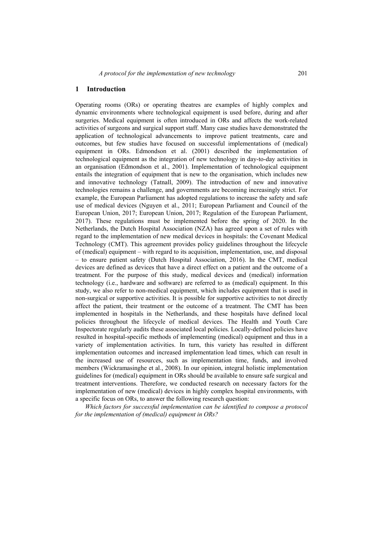#### **1 Introduction**

Operating rooms (ORs) or operating theatres are examples of highly complex and dynamic environments where technological equipment is used before, during and after surgeries. Medical equipment is often introduced in ORs and affects the work-related activities of surgeons and surgical support staff. Many case studies have demonstrated the application of technological advancements to improve patient treatments, care and outcomes, but few studies have focused on successful implementations of (medical) equipment in ORs. Edmondson et al. (2001) described the implementation of technological equipment as the integration of new technology in day-to-day activities in an organisation (Edmondson et al., 2001). Implementation of technological equipment entails the integration of equipment that is new to the organisation, which includes new and innovative technology (Tatnall, 2009). The introduction of new and innovative technologies remains a challenge, and governments are becoming increasingly strict. For example, the European Parliament has adopted regulations to increase the safety and safe use of medical devices (Nguyen et al., 2011; European Parliament and Council of the European Union, 2017; European Union, 2017; Regulation of the European Parliament, 2017). These regulations must be implemented before the spring of 2020. In the Netherlands, the Dutch Hospital Association (NZA) has agreed upon a set of rules with regard to the implementation of new medical devices in hospitals: the Covenant Medical Technology (CMT). This agreement provides policy guidelines throughout the lifecycle of (medical) equipment – with regard to its acquisition, implementation, use, and disposal – to ensure patient safety (Dutch Hospital Association, 2016). In the CMT, medical devices are defined as devices that have a direct effect on a patient and the outcome of a treatment. For the purpose of this study, medical devices and (medical) information technology (i.e., hardware and software) are referred to as (medical) equipment. In this study, we also refer to non-medical equipment, which includes equipment that is used in non-surgical or supportive activities. It is possible for supportive activities to not directly affect the patient, their treatment or the outcome of a treatment. The CMT has been implemented in hospitals in the Netherlands, and these hospitals have defined local policies throughout the lifecycle of medical devices. The Health and Youth Care Inspectorate regularly audits these associated local policies. Locally-defined policies have resulted in hospital-specific methods of implementing (medical) equipment and thus in a variety of implementation activities. In turn, this variety has resulted in different implementation outcomes and increased implementation lead times, which can result in the increased use of resources, such as implementation time, funds, and involved members (Wickramasinghe et al., 2008). In our opinion, integral holistic implementation guidelines for (medical) equipment in ORs should be available to ensure safe surgical and treatment interventions. Therefore, we conducted research on necessary factors for the implementation of new (medical) devices in highly complex hospital environments, with a specific focus on ORs, to answer the following research question:

*Which factors for successful implementation can be identified to compose a protocol for the implementation of (medical) equipment in ORs?*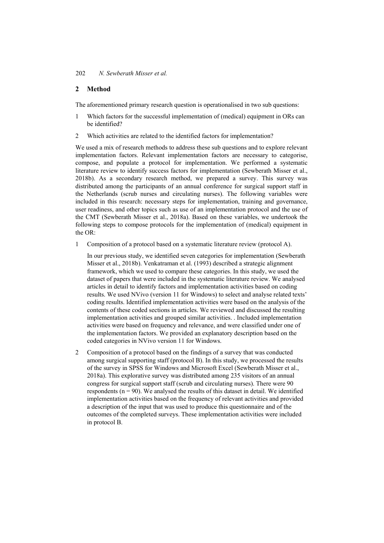## **2 Method**

The aforementioned primary research question is operationalised in two sub questions:

- 1 Which factors for the successful implementation of (medical) equipment in ORs can be identified?
- 2 Which activities are related to the identified factors for implementation?

We used a mix of research methods to address these sub questions and to explore relevant implementation factors. Relevant implementation factors are necessary to categorise, compose, and populate a protocol for implementation. We performed a systematic literature review to identify success factors for implementation (Sewberath Misser et al., 2018b). As a secondary research method, we prepared a survey. This survey was distributed among the participants of an annual conference for surgical support staff in the Netherlands (scrub nurses and circulating nurses). The following variables were included in this research: necessary steps for implementation, training and governance, user readiness, and other topics such as use of an implementation protocol and the use of the CMT (Sewberath Misser et al., 2018a). Based on these variables, we undertook the following steps to compose protocols for the implementation of (medical) equipment in the OR:

1 Composition of a protocol based on a systematic literature review (protocol A).

In our previous study, we identified seven categories for implementation (Sewberath Misser et al., 2018b). Venkatraman et al. (1993) described a strategic alignment framework, which we used to compare these categories. In this study, we used the dataset of papers that were included in the systematic literature review. We analysed articles in detail to identify factors and implementation activities based on coding results. We used NVivo (version 11 for Windows) to select and analyse related texts' coding results. Identified implementation activities were based on the analysis of the contents of these coded sections in articles. We reviewed and discussed the resulting implementation activities and grouped similar activities. . Included implementation activities were based on frequency and relevance, and were classified under one of the implementation factors. We provided an explanatory description based on the coded categories in NVivo version 11 for Windows.

2 Composition of a protocol based on the findings of a survey that was conducted among surgical supporting staff (protocol B). In this study, we processed the results of the survey in SPSS for Windows and Microsoft Excel (Sewberath Misser et al., 2018a). This explorative survey was distributed among 235 visitors of an annual congress for surgical support staff (scrub and circulating nurses). There were 90 respondents ( $n = 90$ ). We analysed the results of this dataset in detail. We identified implementation activities based on the frequency of relevant activities and provided a description of the input that was used to produce this questionnaire and of the outcomes of the completed surveys. These implementation activities were included in protocol B.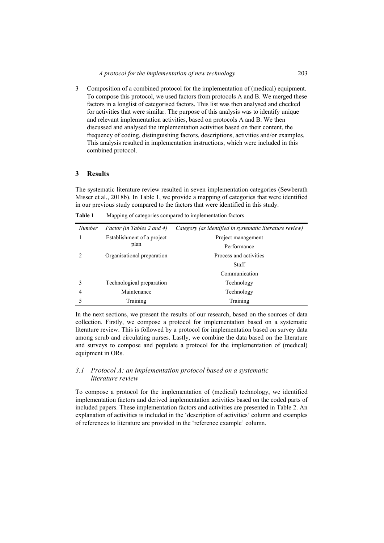3 Composition of a combined protocol for the implementation of (medical) equipment. To compose this protocol, we used factors from protocols A and B. We merged these factors in a longlist of categorised factors. This list was then analysed and checked for activities that were similar. The purpose of this analysis was to identify unique and relevant implementation activities, based on protocols A and B. We then discussed and analysed the implementation activities based on their content, the frequency of coding, distinguishing factors, descriptions, activities and/or examples. This analysis resulted in implementation instructions, which were included in this combined protocol.

### **3 Results**

The systematic literature review resulted in seven implementation categories (Sewberath Misser et al., 2018b). In Table 1, we provide a mapping of categories that were identified in our previous study compared to the factors that were identified in this study.

| <b>Number</b> | Factor (in Tables 2 and 4) | Category (as identified in systematic literature review) |
|---------------|----------------------------|----------------------------------------------------------|
|               | Establishment of a project | Project management                                       |
|               | plan                       | Performance                                              |
|               | Organisational preparation | Process and activities                                   |
|               |                            | Staff                                                    |
|               |                            | Communication                                            |
|               | Technological preparation  | Technology                                               |
| 4             | Maintenance                | Technology                                               |
|               | Training                   | Training                                                 |

**Table 1** Mapping of categories compared to implementation factors

In the next sections, we present the results of our research, based on the sources of data collection. Firstly, we compose a protocol for implementation based on a systematic literature review. This is followed by a protocol for implementation based on survey data among scrub and circulating nurses. Lastly, we combine the data based on the literature and surveys to compose and populate a protocol for the implementation of (medical) equipment in ORs.

### *3.1 Protocol A: an implementation protocol based on a systematic literature review*

To compose a protocol for the implementation of (medical) technology, we identified implementation factors and derived implementation activities based on the coded parts of included papers. These implementation factors and activities are presented in Table 2. An explanation of activities is included in the 'description of activities' column and examples of references to literature are provided in the 'reference example' column.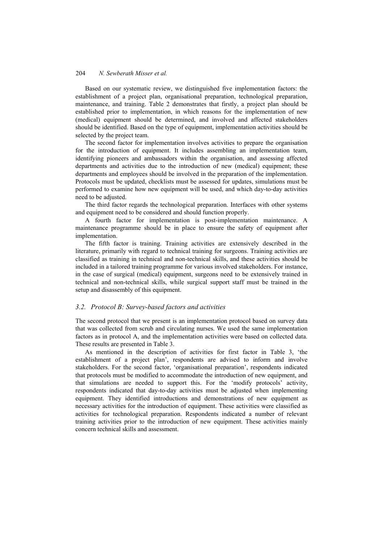Based on our systematic review, we distinguished five implementation factors: the establishment of a project plan, organisational preparation, technological preparation, maintenance, and training. Table 2 demonstrates that firstly, a project plan should be established prior to implementation, in which reasons for the implementation of new (medical) equipment should be determined, and involved and affected stakeholders should be identified. Based on the type of equipment, implementation activities should be selected by the project team.

The second factor for implementation involves activities to prepare the organisation for the introduction of equipment. It includes assembling an implementation team, identifying pioneers and ambassadors within the organisation, and assessing affected departments and activities due to the introduction of new (medical) equipment; these departments and employees should be involved in the preparation of the implementation. Protocols must be updated, checklists must be assessed for updates, simulations must be performed to examine how new equipment will be used, and which day-to-day activities need to be adjusted.

The third factor regards the technological preparation. Interfaces with other systems and equipment need to be considered and should function properly.

A fourth factor for implementation is post-implementation maintenance. A maintenance programme should be in place to ensure the safety of equipment after implementation.

The fifth factor is training. Training activities are extensively described in the literature, primarily with regard to technical training for surgeons. Training activities are classified as training in technical and non-technical skills, and these activities should be included in a tailored training programme for various involved stakeholders. For instance, in the case of surgical (medical) equipment, surgeons need to be extensively trained in technical and non-technical skills, while surgical support staff must be trained in the setup and disassembly of this equipment.

### *3.2. Protocol B: Survey-based factors and activities*

The second protocol that we present is an implementation protocol based on survey data that was collected from scrub and circulating nurses. We used the same implementation factors as in protocol A, and the implementation activities were based on collected data. These results are presented in Table 3.

As mentioned in the description of activities for first factor in Table 3, 'the establishment of a project plan', respondents are advised to inform and involve stakeholders. For the second factor, 'organisational preparation', respondents indicated that protocols must be modified to accommodate the introduction of new equipment, and that simulations are needed to support this. For the 'modify protocols' activity, respondents indicated that day-to-day activities must be adjusted when implementing equipment. They identified introductions and demonstrations of new equipment as necessary activities for the introduction of equipment. These activities were classified as activities for technological preparation. Respondents indicated a number of relevant training activities prior to the introduction of new equipment. These activities mainly concern technical skills and assessment.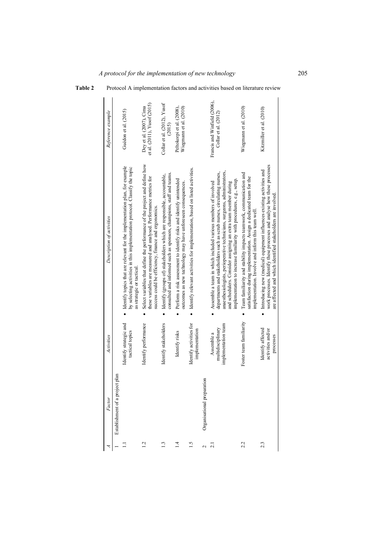|                 | Factor                               | Activities                                             | Description of activities                                                                                                                                                                                                                                                                                                                                     | Reference example                                         |
|-----------------|--------------------------------------|--------------------------------------------------------|---------------------------------------------------------------------------------------------------------------------------------------------------------------------------------------------------------------------------------------------------------------------------------------------------------------------------------------------------------------|-----------------------------------------------------------|
|                 | : plan<br>Establishment of a project |                                                        |                                                                                                                                                                                                                                                                                                                                                               |                                                           |
|                 |                                      | Identify strategic and<br>tactical topics              | $\bullet$ Identify topics that are relevant for the implementation plan, for example<br>by selecting activities in this implementation protocol. Classify the topic<br>as strategic or tactical.                                                                                                                                                              | Guédon et al. (2015)                                      |
| $\overline{12}$ |                                      | Identify performance                                   | Select variables that define the performance of the project and define how<br>these variables are measured and analysed. Performance metrics for<br>success could be efficiency, finance and ergonomics<br>$\bullet$                                                                                                                                          | et al. (2011), Yusof (2015)<br>Dev et al. $(2007)$ . Cima |
| $\frac{3}{2}$   |                                      | Identify stakeholders                                  | consulted and informed such as sponsors, champions, staff and teams.<br>· Identify (groups of) stakeholders which are responsible, accountable,                                                                                                                                                                                                               | Collar et al. (2012), Yusof<br>(2015)                     |
| $\overline{14}$ |                                      | Identify risks                                         | • Perform a risk assessment to identify risks and identify unintended<br>outcomes as new technology may have unforeseen consequences.                                                                                                                                                                                                                         | Wiegmann et al. (2010)<br>Peltokorpi et al. (2008),       |
| $\frac{1}{2}$   |                                      | Identify activities for<br>implementation              | · Identify relevant activities for implementation, based on listed activities.                                                                                                                                                                                                                                                                                |                                                           |
|                 | Organisational preparation           |                                                        |                                                                                                                                                                                                                                                                                                                                                               |                                                           |
| $\overline{c}$  |                                      | implementation team<br>multidisciplinary<br>Assemble a | anaesthesiologists, perioperative technicians, surgeons, administrators,<br>departments and stakeholders such as scrub nurses, circulating nurses,<br>implementation to increase familiarity with procedures, e.g., setup.<br>Assemble a team in which included various members of involved<br>and schedulers. Consider assigning an extra team member during | Francis and Winfield (2006),<br>Collar et al. (2012)      |
| 2.2             |                                      | Foster team familiarity                                | Team familiarity and stability impacts teamwork, communication and<br>satisfaction during implementation. Assign a dedicated team for the<br>implementation. Involve and inform this team well.                                                                                                                                                               | Wiegmann et al. (2010)                                    |
| 2.3             |                                      | Identify affected<br>activities and/or<br>processes    | work processes. Identify these processes and analyse how these processes<br>Introducing new (medical) equipment influences existing activities and<br>are affected and which identified stakeholders are involved                                                                                                                                             | Kitzmiller et al. (2010)                                  |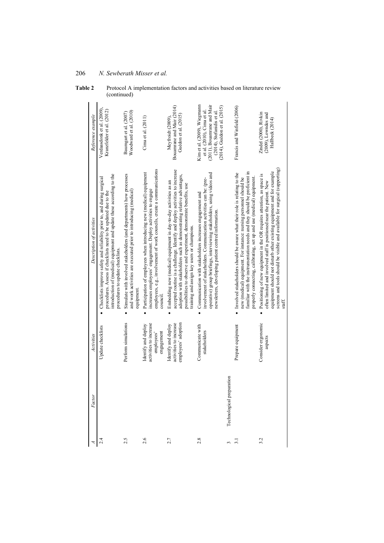| Reference example         | Verdaasdonk et al. (2009),<br>Kranzfelder et al. (2012)                                                                                                                                                                                                | Woodward et al. (2010)<br>Baumgart et al. (2007)                                                                                                    |                                                                                                                                                                                                                                       |                                                                                                                                                                                                                                                                                                                                               |                                                                                                                                                                                                                                                                    |                           |                                                                                                                                                                                                                                                                                                     |                                                                                                                                                                                                                                                                                                                  |
|---------------------------|--------------------------------------------------------------------------------------------------------------------------------------------------------------------------------------------------------------------------------------------------------|-----------------------------------------------------------------------------------------------------------------------------------------------------|---------------------------------------------------------------------------------------------------------------------------------------------------------------------------------------------------------------------------------------|-----------------------------------------------------------------------------------------------------------------------------------------------------------------------------------------------------------------------------------------------------------------------------------------------------------------------------------------------|--------------------------------------------------------------------------------------------------------------------------------------------------------------------------------------------------------------------------------------------------------------------|---------------------------|-----------------------------------------------------------------------------------------------------------------------------------------------------------------------------------------------------------------------------------------------------------------------------------------------------|------------------------------------------------------------------------------------------------------------------------------------------------------------------------------------------------------------------------------------------------------------------------------------------------------------------|
|                           |                                                                                                                                                                                                                                                        |                                                                                                                                                     | Cima et al. (2011)                                                                                                                                                                                                                    | Bouamrane and Mair (2014)<br>Guédon et al. (2015)<br>Meyfroidt (2009),                                                                                                                                                                                                                                                                        | Kim et al. (2009), Wiegmann<br>(2011), Bouamrane and Mair<br>(2014), Guédon et al. (2015)<br>et al. (2010), Cima et al.<br>(2014), Stefanidis et al.                                                                                                               |                           | Francis and Winfield (2006)                                                                                                                                                                                                                                                                         | Zindel (2000), Rivkin<br>(2009), Lowndes and<br>Hallbeck (2014)                                                                                                                                                                                                                                                  |
| Description of activities | introduction of (medical) equipment and update these according to the<br>Checklists improve safety and reliability prior to, and during surgical<br>procedures. Assess if checklists need to be updated due to the<br>procedures to update checklists. | Simulate with involved stakeholders (and departments) how processes<br>and work activities are executed prior to introducing (medical)<br>equipment | employees, e.g., involvement of work councils, create a communications<br>Participation of employees when introducing new (medical) equipment<br>increases employees' engagement. Deploy activities to engage<br>council<br>$\bullet$ | accepted routine is a challenge. Identify and deploy activities to increase<br>adoption with stakeholders such as demonstrating relative advantages,<br>Embedding new (medical) equipment in day-to-day activities as an<br>possibilities to observe and experiment, demonstrate benefits, use<br>training and assign key users or champions. | operative) group briefings, interviewing stakeholders, using videos and<br>involvement of stakeholders. Communication activities can be: (pre-<br>Communication with stakeholders increases engagement and<br>newsletters, developing patient centred information. |                           | familiar with the instrumentation needs and they should be proficient in<br>Involved stakeholders should be aware what their role is relating to the<br>properly connecting, calibrating, set up and use (medical) equipment.<br>new (medical) equipment. For instance: nursing personnel should be | screens and tools should be visible and available for surgical (supporting)<br>equipment should not disturb other existing equipment and for example<br>Positioning of new equipment in the OR requires attention, as space is<br>often limited and involved staff is positioned near the patient. New<br>staff. |
| Activities                | Update checklists                                                                                                                                                                                                                                      | Perform simulations                                                                                                                                 | activities to increase<br>Identify and deploy<br>engagement<br>employees'                                                                                                                                                             | activities to increase<br>employees' adoption<br>Identify and deploy                                                                                                                                                                                                                                                                          | Communicate with<br>stakeholders                                                                                                                                                                                                                                   |                           | Prepare equipment                                                                                                                                                                                                                                                                                   | Consider ergonomic<br>aspects                                                                                                                                                                                                                                                                                    |
| Factor                    |                                                                                                                                                                                                                                                        |                                                                                                                                                     |                                                                                                                                                                                                                                       |                                                                                                                                                                                                                                                                                                                                               |                                                                                                                                                                                                                                                                    | Technological preparation |                                                                                                                                                                                                                                                                                                     |                                                                                                                                                                                                                                                                                                                  |
|                           |                                                                                                                                                                                                                                                        | 2.5                                                                                                                                                 | 2.6                                                                                                                                                                                                                                   | 2.7                                                                                                                                                                                                                                                                                                                                           | 2.8                                                                                                                                                                                                                                                                |                           | $\overline{3.1}$                                                                                                                                                                                                                                                                                    | 3.2                                                                                                                                                                                                                                                                                                              |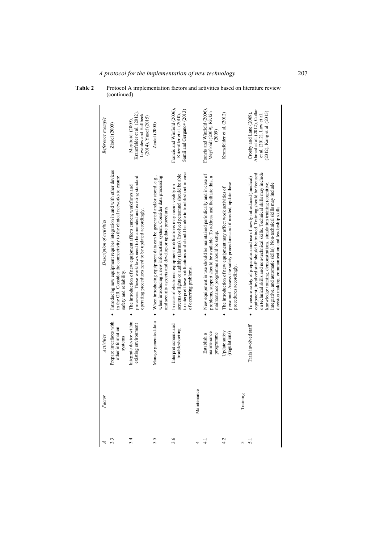|                | Factor      | Activities                                              | Description of activities                                                                                                                                                                                                                                                                                                                                                                                                                       | Reference example                                                                                                 |
|----------------|-------------|---------------------------------------------------------|-------------------------------------------------------------------------------------------------------------------------------------------------------------------------------------------------------------------------------------------------------------------------------------------------------------------------------------------------------------------------------------------------------------------------------------------------|-------------------------------------------------------------------------------------------------------------------|
|                |             | Prepare interfaces with<br>other information<br>systems | Introducing new equipment requires integration in and with other devices<br>in the OR. Consider the connectivity to the clinical networks to ensure<br>safety and reliability.                                                                                                                                                                                                                                                                  | Zindel (2000)                                                                                                     |
| 3.4            |             | Integrate device within<br>existing environment         | processes. These workflows need to be amended and existing standard<br>The introduction of new equipment affects current workflows and<br>operating procedures need to be updated accordingly.                                                                                                                                                                                                                                                  | Kranzfelder et al. (2012),<br>Lowndes and Hallbeck<br>$(2014)$ , Yusof $(2015)$<br>Meyfroidt (2009)               |
| 3.5            |             | Manage generated data                                   | When introducing equipment data can be generated and/or stored, e.g.,<br>when introducing a new information system. Consider data processing<br>and security aspects and develop or update procedures.                                                                                                                                                                                                                                          | Zindel (2000)                                                                                                     |
| 3.6            |             | Interpret screens and<br>troubleshooting                | to interpret these notifications and should be able to troubleshoot in case<br>screens or lights or audibly (alarms). Involved personnel should be able<br>· In case of electronic equipment notifications may occur visibly on<br>of occurring problems.                                                                                                                                                                                       | Francis and Winfield (2006),<br>Samii and Gerganov (2013)<br>Kitzmiller et al. (2010),                            |
|                | Maintenance |                                                         |                                                                                                                                                                                                                                                                                                                                                                                                                                                 |                                                                                                                   |
| $\overline{4}$ |             | maintenance<br>programme<br>Establish a                 | . New equipment in use should be maintained periodically and in case of<br>problems, support should be available. To address and facilitate this, a<br>maintenance programme should be setup.                                                                                                                                                                                                                                                   | Francis and Winfield (2006),<br>Meyfroidt (2009), Rivkin<br>(2009)                                                |
| 4.2            |             | Update safety<br>(regulations)                          | personnel. Assess the safety procedures and if needed, update these<br>· The introduction of new equipment may affect work activities of<br>procedures accordingly                                                                                                                                                                                                                                                                              | Kranzfelder et al. (2012)                                                                                         |
|                | Training    |                                                         |                                                                                                                                                                                                                                                                                                                                                                                                                                                 |                                                                                                                   |
| $5\frac{1}{2}$ |             | Train involved staff                                    | on technical skills and non-technical skills. Technical skills may include<br>equipment, involved staff should be trained. Training should be focused<br>$\bullet$ To ensure safety of preparation and use of newly introduced (medical)<br>knowledge training, demonstrations, simulation training (cognitive,<br>integrative, and automatic skills). Non-technical skills may include<br>decision making, communication and leadership skills | Ahmed et al. (2012), Collar<br>(2012), Kang et al. (2015)<br>Crosby and Lane (2009),<br>et al. (2012), Low et al. |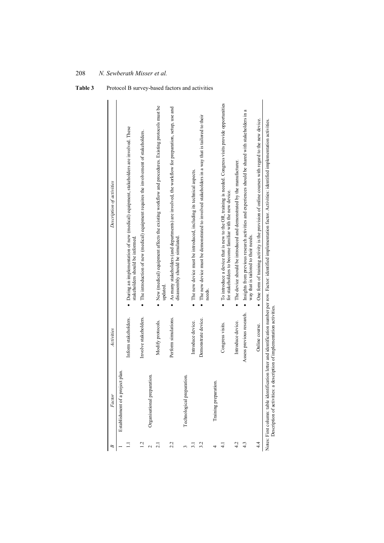| B                        | <b>Factor</b>                    | Activities                                  | Description of activities                                                                                                                                                       |
|--------------------------|----------------------------------|---------------------------------------------|---------------------------------------------------------------------------------------------------------------------------------------------------------------------------------|
|                          | Establishment of a project plan. |                                             |                                                                                                                                                                                 |
|                          |                                  | Inform stakeholders.                        | During an implementation of new (medical) equipment, stakeholders are involved. These<br>stakeholders should be informed.<br>$\bullet$                                          |
| 1.2                      |                                  | Involve stakeholders.                       | The introduction of new (medical) equipment requires the involvement of stakeholders.                                                                                           |
| $\overline{\mathcal{L}}$ | Organisational preparation.      |                                             |                                                                                                                                                                                 |
| $\overline{c}$           |                                  | Modify protocols.                           | New (medical) equipment affects the existing workflow and procedures. Existing protocols must be<br>updated.                                                                    |
| 2.2                      |                                  | Perform simulations.                        | As many stakeholders (and departments) are involved, the workflow for preparation, setup, use and<br>disassembly should be simulated.                                           |
|                          | Technological preparation.       |                                             |                                                                                                                                                                                 |
| $\Xi$                    |                                  | Introduce device.                           | • The new device must be introduced, including its technical aspects.                                                                                                           |
| 3.2                      |                                  | Demonstrate device.                         | The new device must be demonstrated to involved stakeholders in a way that is tailored to their<br>needs.                                                                       |
|                          | Training preparation.            |                                             |                                                                                                                                                                                 |
| $\frac{1}{4}$            |                                  | Congress visits.                            | To introduce a device that is new to the OR, training is needed. Congress visits provide opportunities<br>for stakeholders to become familiar with the new device.              |
| 4.2                      |                                  | Introduce device.                           | The device should be introduced and demonstrated by the manufacturer.                                                                                                           |
| 4.3                      |                                  | Assess previous research.                   | Insights from previous research activities and experiences should be shared with stakeholders in a<br>way that is tailored to their needs.                                      |
| $\frac{4}{4}$            |                                  | Online course.                              | One form of training activity is the provision of online courses with regard to the new device.<br>$\bullet$                                                                    |
|                          | Description of activities:       | a description of implementation activities. | Notes: First column: table identification letter and identification number per row. Factor: identified implementation factor. Activities: identified implementation activities. |

**Table 3** Protocol B survey-based factors and activities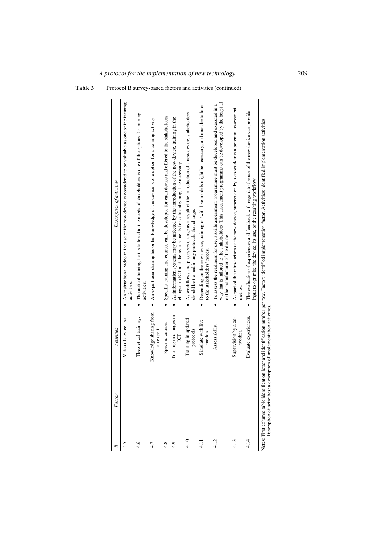| B              | Factor | Activities                                                             | Description of activities                                                                                                                                                                                                                          |
|----------------|--------|------------------------------------------------------------------------|----------------------------------------------------------------------------------------------------------------------------------------------------------------------------------------------------------------------------------------------------|
| 4.5            |        | Video of device use.                                                   | An instructional video in the use of the new device is considered to be valuable as one of the training<br>activities.<br>$\bullet$                                                                                                                |
| 4.6            |        | Theoretical training.                                                  | Theoretical training that is tailored to the needs of stakeholders is one of the options for training<br>activities.<br>$\bullet$                                                                                                                  |
| 4.7            |        | Knowledge sharing from<br>an expert.                                   | An expert user sharing his or her knowledge of the device is one option for a training activity.                                                                                                                                                   |
| 4.8            |        | Specific courses.                                                      | • Specific training and courses can be developed for each device and offered to the stakeholders.                                                                                                                                                  |
| $\ddot{ }$ 4.9 |        | Training in changes in                                                 | As information systems may be affected by the introduction of the new device, training in the<br>changes in ICT and the requirements for data entry might be necessary.<br>$\bullet$                                                               |
| $rac{0}{4}$    |        | Training in updated<br>protocols.                                      | As workflows and processes change as a result of the introduction of a new device, stakeholders<br>should be trained in any protocols that change.<br>$\bullet$                                                                                    |
| $\Xi$          |        | Simulate with live<br>models.                                          | Depending on the new device, training on/with live models might be necessary, and must be tailored<br>to the stakeholders' needs.<br>$\bullet$                                                                                                     |
| 4.12           |        | Assess skills.                                                         | way that is tailored to the stakeholders. This assessment programme can be developed by the hospital<br>• To assess the readiness for use, a skills assessment programme must be developed and executed in a<br>or the manufacturer of the device. |
| 4.13           |        | Supervision by a co-<br>worker.                                        | • As part of the introduction of the new device, supervision by a co-worker is a potential assessment<br>method                                                                                                                                    |
| 4.14           |        | Evaluate experiences.                                                  | $\bullet$ The evaluation of experiences and feedback with regard to the use of the new device can provide<br>input to optimise the device, its use, or the resulting workflow.                                                                     |
|                |        | Description of activities: a description of implementation activities. | Notes: First column: table identification letter and identification number per row. Factor: identified implementation factor. Activities: identified implementation activities.                                                                    |

Table 3 Protocol B survey-based factors and activities (continued)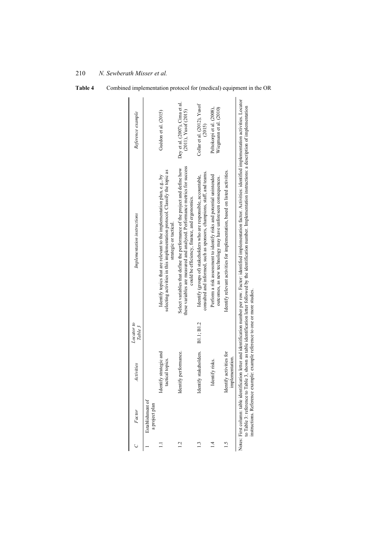| Factor                             | Activities                                                                 | Locator to<br>Table 3 | Implementation instructions                                                                                                                                                                                                                                                                                                                                           | Reference example                                           |
|------------------------------------|----------------------------------------------------------------------------|-----------------------|-----------------------------------------------------------------------------------------------------------------------------------------------------------------------------------------------------------------------------------------------------------------------------------------------------------------------------------------------------------------------|-------------------------------------------------------------|
| Establishment of<br>a project plan |                                                                            |                       |                                                                                                                                                                                                                                                                                                                                                                       |                                                             |
|                                    | Identify strategic and<br>tactical topics.                                 |                       | selecting activities in this implementation protocol. Classify the topic as<br>Identify topics that are relevant to the implementation plan, e.g., by<br>strategic or tactical.                                                                                                                                                                                       | Guédon et al. (2015)                                        |
|                                    | tify performance.<br>Ident                                                 |                       | these variables are measured and analysed. Performance metrics for success<br>Select variables that define the performance of the project and define how<br>could be efficiency, finance, and ergonomics.                                                                                                                                                             | Dey et al. (2007), Cima et al.<br>$(2011)$ , Yusof $(2015)$ |
|                                    | Identify stakeholders.                                                     | B1.1; B1.2            | consulted and informed, such as sponsors, champions, staff, and teams.<br>Identify (groups of) stakeholders who are responsible, accountable,                                                                                                                                                                                                                         | Collar et al. (2012), Yusof<br>(2015)                       |
|                                    | dentify risks.                                                             |                       | Perform a risk assessment to identify risks and potential unintended<br>outcomes, as new technology may have unforeseen consequences.                                                                                                                                                                                                                                 | Wiegmann et al. (2010)<br>Peltokorpi et al. (2008),         |
|                                    | Identify activities for<br>implementation.                                 |                       | Identify relevant activities for implementation, based on listed activities.                                                                                                                                                                                                                                                                                          |                                                             |
|                                    | instructions. Reference example: example reference to one or more studies. |                       | Notes: First column: table identification letter and identification number per row. Factor: identified implementation factor. Activities: identified implementation activities. Locator<br>to Table 3: reference to Table 3, shown as table identification letter followed by the identification number. Implementation instructions: a description of implementation |                                                             |

**Table 4** Combined implementation protocol for (medical) equipment in the OR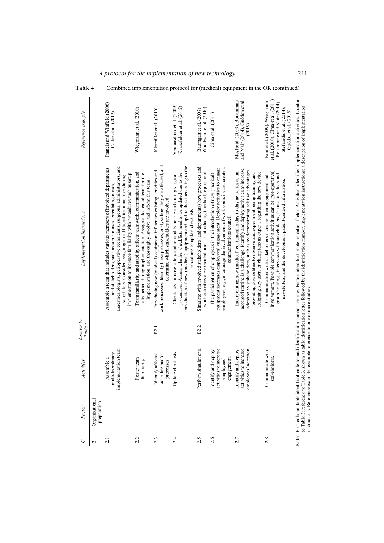| C                | Factor                        | Activities                                                                 | Locator to<br>Table 3 | Implementation instructions                                                                                                                                                                                                                                                                                                                                                      | Reference example                                                                                                                                  |
|------------------|-------------------------------|----------------------------------------------------------------------------|-----------------------|----------------------------------------------------------------------------------------------------------------------------------------------------------------------------------------------------------------------------------------------------------------------------------------------------------------------------------------------------------------------------------|----------------------------------------------------------------------------------------------------------------------------------------------------|
| $\mathbf{C}$     | Organisational<br>preparation |                                                                            |                       |                                                                                                                                                                                                                                                                                                                                                                                  |                                                                                                                                                    |
| $\overline{2.1}$ |                               | implementation team.<br>multidisciplinary<br>Assemble a                    |                       | anaesthesiologists, perioperative technicians, surgeons, administrators, and<br>Assemble a team that includes various members of involved departments<br>implementation to increase familiarity with procedures such as setup.<br>schedulers. Consider assigning an additional team member during<br>and stakeholders, such as scrub nurses, circulating nurses,                 | Francis and Winfield (2006)<br>Collar et al. (2012)                                                                                                |
| 2.2              |                               | Foster team<br>familiarity.                                                |                       | Team familiarity and stability affects teamwork, communication, and<br>satisfaction during implementation. Assign a dedicated team for the<br>implementation, and thoroughly involve and inform this team                                                                                                                                                                        | Wiegmann et al. (2010)                                                                                                                             |
| 2.3              |                               | Identify affected<br>activities and/or<br>processes.                       | B2.1                  | work processes. Identify these processes, analyse how they are affected, and<br>Introducing new (medical) equipment influences existing activities and<br>determine which stakeholders are involved                                                                                                                                                                              | Kitzmiller et al. (2010)                                                                                                                           |
| 2.4              |                               | Jpdate checklists.                                                         |                       | introduction of new (medical) equipment and update these according to the<br>procedures. Assess whether checklists need to be updated due to the<br>Checklists improve safety and reliability before and during surgical<br>procedures to update checklists                                                                                                                      | Verdaasdonk et al. (2009)<br>Kranzfelder et al. (2012)                                                                                             |
| 2.5              |                               | Perform simulations.                                                       | B <sub>2.2</sub>      | Simulate with involved stakeholders (and departments) how processes and<br>work activities are executed prior to introducing (medical) equipment.                                                                                                                                                                                                                                | Woodward et al. (2010)<br>Baumgart et al. (2007)                                                                                                   |
| 2.6              |                               | activities to increase<br>Identify and deploy<br>engagement.<br>employees' |                       | employees, e.g., encourage the involvement of work councils and create a<br>equipment increases employees' engagement. Deploy activities to engage<br>The participation of employees in the introduction of new (medical)<br>communications council.                                                                                                                             | Cima et al. (2011)                                                                                                                                 |
| 2.7              |                               | activities to increase<br>employees' adoption.<br>Identify and deploy      |                       | accepted routine is a challenge. Identify and deploy activities to increase<br>adoption by stakeholders, such as by demonstrating relative advantages,<br>assigning key users or champions as experts regarding the new device.<br>Incorporating new (medical) equipment in day-to-day activities as an<br>providing possibilities to observe and experiment, using training and | and Mair (2014), Guédon et al.<br>Meyfroidt (2009), Bouamrane<br>(2015)                                                                            |
| 2.8              |                               | Communicate with<br>stakeholders.                                          |                       | involvement. Possible communication activities can be (pre-operative)<br>group briefings, interviews with stakeholders, the use of videos and<br>Communication with stakeholders increases their engagement and<br>newsletters, and the development patient-centred information.                                                                                                 | et al. (2010), Cima et al. (2011)<br>Kim et al. (2009), Wiegmann<br>Bouamrane and Mair (2014)<br>Stefanidis et al. (2014).<br>Guédon et al. (2015) |
|                  |                               | instructions. Reference example: example reference to one or more studies. |                       | Notes: First column: table identification letter and identification number per row. Factor: identified implementation factor. Activities: identified implementation activities. Locator<br>to Table 3: reference to Table 3, shown as table identification letter followed by the identification number. Implementation instructions: a description of implementation            |                                                                                                                                                    |

**Table 4** Combined implementation protocol for (medical) equipment in the OR (continued)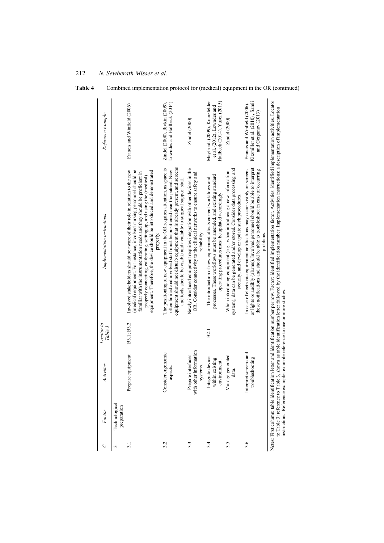|                 | <b>Factor</b>                | Activities                                                                 | Locator to<br>Table 3 | <i>Implementation instructions</i>                                                                                                                                                                                                                                                                                                                                                                | Reference example                                                                            |
|-----------------|------------------------------|----------------------------------------------------------------------------|-----------------------|---------------------------------------------------------------------------------------------------------------------------------------------------------------------------------------------------------------------------------------------------------------------------------------------------------------------------------------------------------------------------------------------------|----------------------------------------------------------------------------------------------|
|                 | Technological<br>preparation |                                                                            |                       |                                                                                                                                                                                                                                                                                                                                                                                                   |                                                                                              |
| $\overline{31}$ |                              | Prepare equipment.                                                         | B3.1; B3.2            | Involved stakeholders should be aware of their role in relation to the new<br>equipment. Therefore, the device should be introduced and demonstrated<br>(medical) equipment. For instance, involved nursing personnel should be<br>familiar with the instrumentation needs and they should be proficient in<br>properly connecting, calibrating, setting up, and using the (medical)<br>properly. | Francis and Winfield (2006)                                                                  |
| 3.2             |                              | Consider ergonomic<br>aspects                                              |                       | equipment should not disturb equipment that is already present, and screens<br>The positioning of new equipment in the OR requires attention, as space is<br>often limited and involved staff must be positioned near the patient. New<br>and tools should be visible and available to surgical support staff.                                                                                    | Lowndes and Hallbeck (2014)<br>Zindel (2000), Rivkin (2009),                                 |
| 3.3             |                              | Prepare interfaces<br>with other information<br>systems.                   |                       | Newly introduced equipment requires integration with other devices in the<br>OR. Consider connectivity to the clinical networks to ensure safety and<br>reliability.                                                                                                                                                                                                                              | Zindel (2000)                                                                                |
| 3.4             |                              | Integrate device<br>within existing<br>environment                         | <b>B2.1</b>           | processes. These workflows must be amended, and existing standard<br>The introduction of new equipment affects current workflows and<br>operating procedures must be updated accordingly.                                                                                                                                                                                                         | Meyfroidt (2009), Kranzfelder<br>Hallbeck (2014), Yusof (2015)<br>et al. (2012), Lowndes and |
| 3.5             |                              | Manage generated<br>data                                                   |                       | system), data can be generated and/or stored. Consider data processing and<br>When introducing equipment (e.g., when introducing a new information<br>security, and develop or update such procedures.                                                                                                                                                                                            | Zindel (2000)                                                                                |
| 3.6             |                              | Interpret screens and<br>troubleshooting                                   |                       | or lights or audibly (alarms). Involved personnel should be able to interpret<br>In case of electronic equipment notifications may occur visibly on screens<br>these notifications and should be able to troubleshoot in case of occurring<br>problems.                                                                                                                                           | Kitzmiller et al. (2010), Samii<br>Francis and Winfield (2006),<br>and Gerganov (2013)       |
|                 |                              | instructions. Reference example: example reference to one or more studies. |                       | Notes: First column: table identification letter and identification number per row. Factor: identified implementation factor. Activities: identified implementation activities. Locator<br>to Table 3: reference to Table 3, shown as table identification letter followed by the identification number. Implementation instructions: a description of implementation                             |                                                                                              |

**Table 4** Combined implementation protocol for (medical) equipment in the OR (continued)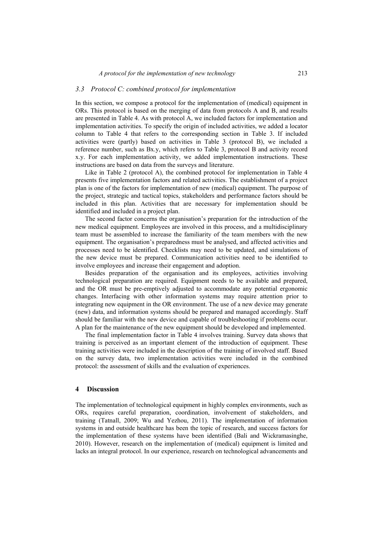#### *3.3 Protocol C: combined protocol for implementation*

In this section, we compose a protocol for the implementation of (medical) equipment in ORs. This protocol is based on the merging of data from protocols A and B, and results are presented in Table 4. As with protocol A, we included factors for implementation and implementation activities. To specify the origin of included activities, we added a locator column to Table 4 that refers to the corresponding section in Table 3. If included activities were (partly) based on activities in Table 3 (protocol B), we included a reference number, such as Bx.y, which refers to Table 3, protocol B and activity record x.y. For each implementation activity, we added implementation instructions. These instructions are based on data from the surveys and literature.

Like in Table 2 (protocol A), the combined protocol for implementation in Table 4 presents five implementation factors and related activities. The establishment of a project plan is one of the factors for implementation of new (medical) equipment. The purpose of the project, strategic and tactical topics, stakeholders and performance factors should be included in this plan. Activities that are necessary for implementation should be identified and included in a project plan.

The second factor concerns the organisation's preparation for the introduction of the new medical equipment. Employees are involved in this process, and a multidisciplinary team must be assembled to increase the familiarity of the team members with the new equipment. The organisation's preparedness must be analysed, and affected activities and processes need to be identified. Checklists may need to be updated, and simulations of the new device must be prepared. Communication activities need to be identified to involve employees and increase their engagement and adoption.

Besides preparation of the organisation and its employees, activities involving technological preparation are required. Equipment needs to be available and prepared, and the OR must be pre-emptively adjusted to accommodate any potential ergonomic changes. Interfacing with other information systems may require attention prior to integrating new equipment in the OR environment. The use of a new device may generate (new) data, and information systems should be prepared and managed accordingly. Staff should be familiar with the new device and capable of troubleshooting if problems occur. A plan for the maintenance of the new equipment should be developed and implemented.

The final implementation factor in Table 4 involves training. Survey data shows that training is perceived as an important element of the introduction of equipment. These training activities were included in the description of the training of involved staff. Based on the survey data, two implementation activities were included in the combined protocol: the assessment of skills and the evaluation of experiences.

#### **4 Discussion**

The implementation of technological equipment in highly complex environments, such as ORs, requires careful preparation, coordination, involvement of stakeholders, and training (Tatnall, 2009; Wu and Yezhou, 2011). The implementation of information systems in and outside healthcare has been the topic of research, and success factors for the implementation of these systems have been identified (Bali and Wickramasinghe, 2010). However, research on the implementation of (medical) equipment is limited and lacks an integral protocol. In our experience, research on technological advancements and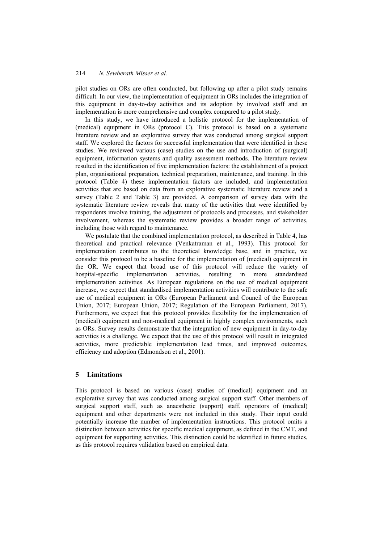pilot studies on ORs are often conducted, but following up after a pilot study remains difficult. In our view, the implementation of equipment in ORs includes the integration of this equipment in day-to-day activities and its adoption by involved staff and an implementation is more comprehensive and complex compared to a pilot study.

In this study, we have introduced a holistic protocol for the implementation of (medical) equipment in ORs (protocol C). This protocol is based on a systematic literature review and an explorative survey that was conducted among surgical support staff. We explored the factors for successful implementation that were identified in these studies. We reviewed various (case) studies on the use and introduction of (surgical) equipment, information systems and quality assessment methods. The literature review resulted in the identification of five implementation factors: the establishment of a project plan, organisational preparation, technical preparation, maintenance, and training. In this protocol (Table 4) these implementation factors are included, and implementation activities that are based on data from an explorative systematic literature review and a survey (Table 2 and Table 3) are provided. A comparison of survey data with the systematic literature review reveals that many of the activities that were identified by respondents involve training, the adjustment of protocols and processes, and stakeholder involvement, whereas the systematic review provides a broader range of activities, including those with regard to maintenance.

We postulate that the combined implementation protocol, as described in Table 4, has theoretical and practical relevance (Venkatraman et al., 1993). This protocol for implementation contributes to the theoretical knowledge base, and in practice, we consider this protocol to be a baseline for the implementation of (medical) equipment in the OR. We expect that broad use of this protocol will reduce the variety of hospital-specific implementation activities, resulting in more standardised implementation activities. As European regulations on the use of medical equipment increase, we expect that standardised implementation activities will contribute to the safe use of medical equipment in ORs (European Parliament and Council of the European Union, 2017; European Union, 2017; Regulation of the European Parliament, 2017). Furthermore, we expect that this protocol provides flexibility for the implementation of (medical) equipment and non-medical equipment in highly complex environments, such as ORs. Survey results demonstrate that the integration of new equipment in day-to-day activities is a challenge. We expect that the use of this protocol will result in integrated activities, more predictable implementation lead times, and improved outcomes, efficiency and adoption (Edmondson et al., 2001).

### **5 Limitations**

This protocol is based on various (case) studies of (medical) equipment and an explorative survey that was conducted among surgical support staff. Other members of surgical support staff, such as anaesthetic (support) staff, operators of (medical) equipment and other departments were not included in this study. Their input could potentially increase the number of implementation instructions. This protocol omits a distinction between activities for specific medical equipment, as defined in the CMT, and equipment for supporting activities. This distinction could be identified in future studies, as this protocol requires validation based on empirical data.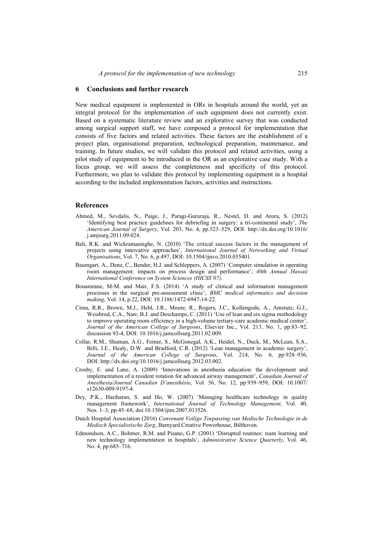### **6 Conclusions and further research**

New medical equipment is implemented in ORs in hospitals around the world, yet an integral protocol for the implementation of such equipment does not currently exist. Based on a systematic literature review and an explorative survey that was conducted among surgical support staff, we have composed a protocol for implementation that consists of five factors and related activities. These factors are the establishment of a project plan, organisational preparation, technological preparation, maintenance, and training. In future studies, we will validate this protocol and related activities, using a pilot study of equipment to be introduced in the OR as an explorative case study. With a focus group, we will assess the completeness and specificity of this protocol. Furthermore, we plan to validate this protocol by implementing equipment in a hospital according to the included implementation factors, activities and instructions.

### **References**

- Ahmed, M., Sevdalis, N., Paige, J., Paragi-Gururaja, R., Nestel, D. and Arora, S. (2012) 'Identifying best practice guidelines for debriefing in surgery: a tri-continental study', *The American Journal of Surgery*, Vol. 203, No. 4, pp.523–529, DOI: http://dx.doi.org/10.1016/ j.amjsurg.2011.09.024.
- Bali, R.K. and Wickramasinghe, N. (2010) 'The critical success factors in the management of projects using innovative approaches', *International Journal of Networking and Virtual Organisations*, Vol. 7, No. 6, p.497, DOI: 10.1504/ijnvo.2010.035401.
- Baumgart, A., Denz, C., Bender, H.J. and Schleppers, A. (2007) 'Computer simulation in operating room management: impacts on process design and performance', *40th Annual Hawaii International Conference on System Sciences (HICSS'07)*.
- Bouamrane, M-M. and Mair, F.S. (2014) 'A study of clinical and information management processes in the surgical pre-assessment clinic', *BMC medical informatics and decision making*, Vol. 14, p.22, DOI: 10.1186/1472-6947-14-22.
- Cima, R.R., Brown, M.J., Hebl, J.R., Moore, R., Rogers, J.C., Kollengode, A., Amstutz, G.J., Weisbrod, C.A., Narr, B.J. and Deschamps, C. (2011) 'Use of lean and six sigma methodology to improve operating room efficiency in a high-volume tertiary-care academic medical center', *Journal of the American College of Surgeons*, Elsevier Inc., Vol. 213, No. 1, pp.83–92, discussion 93-4, DOI: 10.1016/j.jamcollsurg.2011.02.009.
- Collar, R.M., Shuman, A.G., Feiner, S., McGonegal, A.K., Heidel, N., Duck, M., McLean, S.A., Billi, J.E., Healy, D.W. and Bradford, C.R. (2012) 'Lean management in academic surgery', *Journal of the American College of Surgeons*, Vol. 214, No. 6, pp.928–936, DOI: http://dx.doi.org/10.1016/j.jamcollsurg.2012.03.002.
- Crosby, E. and Lane, A. (2009) 'Innovations in anesthesia education: the development and implementation of a resident rotation for advanced airway management', *Canadian Journal of Anesthesia/Journal Canadien D'anesthésie*, Vol. 56, No. 12, pp.939–959, DOI: 10.1007/ s12630-009-9197-4.
- Dey, P.K., Hariharan, S. and Ho, W. (2007) 'Managing healthcare technology in quality management framework', *International Journal of Technology Management*, Vol. 40, Nos. 1–3, pp.45–68, doi:10.1504/ijtm.2007.013526.
- Dutch Hospital Association (2016) *Convenant Veilige Toepassing van Medische Technologie in de Medisch Specialistische Zorg*, Barnyard Creative Powerhouse, Bilthoven.
- Edmondson, A.C., Bohmer, R.M. and Pisano, G.P. (2001) 'Disrupted routines: team learning and new technology implementation in hospitals', *Administrative Science Quarterly*, Vol. 46, No. 4, pp.685–716.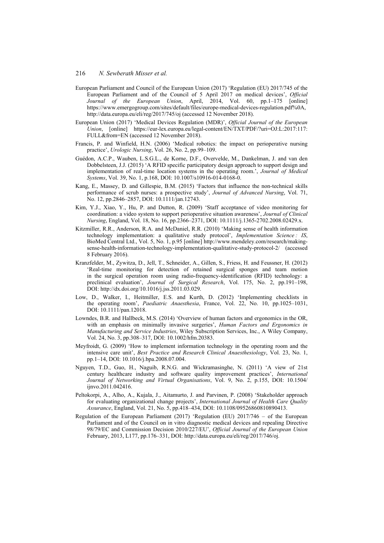- European Parliament and Council of the European Union (2017) 'Regulation (EU) 2017/745 of the European Parliament and of the Council of 5 April 2017 on medical devices', *Official Journal of the European Union*, April, 2014, Vol. 60, pp.1–175 [online] https://www.emergogroup.com/sites/default/files/europe-medical-devices-regulation.pdf%0A, http://data.europa.eu/eli/reg/2017/745/oj (accessed 12 November 2018).
- European Union (2017) 'Medical Devices Regulation (MDR)', *Official Journal of the European Union*, [online] https://eur-lex.europa.eu/legal-content/EN/TXT/PDF/?uri=OJ:L:2017:117: FULL&from=EN (accessed 12 November 2018).
- Francis, P. and Winfield, H.N. (2006) 'Medical robotics: the impact on perioperative nursing practice', *Urologic Nursing*, Vol. 26, No. 2, pp.99–109.
- Guédon, A.C.P., Wauben, L.S.G.L., de Korne, D.F., Overvelde, M., Dankelman, J. and van den Dobbelsteen, J.J. (2015) 'A RFID specific participatory design approach to support design and implementation of real-time location systems in the operating room.', *Journal of Medical Systems*, Vol. 39, No. 1, p.168, DOI: 10.1007/s10916-014-0168-0.
- Kang, E., Massey, D. and Gillespie, B.M. (2015) 'Factors that influence the non-technical skills performance of scrub nurses: a prospective study', *Journal of Advanced Nursing*, Vol. 71, No. 12, pp.2846–2857, DOI: 10.1111/jan.12743.
- Kim, Y.J., Xiao, Y., Hu, P. and Dutton, R. (2009) 'Staff acceptance of video monitoring for coordination: a video system to support perioperative situation awareness', *Journal of Clinical Nursing*, England, Vol. 18, No. 16, pp.2366–2371, DOI: 10.1111/j.1365-2702.2008.02429.x.
- Kitzmiller, R.R., Anderson, R.A. and McDaniel, R.R. (2010) 'Making sense of health information technology implementation: a qualitative study protocol', *Implementation Science : IS*, BioMed Central Ltd., Vol. 5, No. 1, p.95 [online] http://www.mendeley.com/research/makingsense-health-information-technology-implementation-qualitative-study-protocol-2/ (accessed 8 February 2016).
- Kranzfelder, M., Zywitza, D., Jell, T., Schneider, A., Gillen, S., Friess, H. and Feussner, H. (2012) 'Real-time monitoring for detection of retained surgical sponges and team motion in the surgical operation room using radio-frequency-identification (RFID) technology: a preclinical evaluation', *Journal of Surgical Research*, Vol. 175, No. 2, pp.191–198, DOI: http://dx.doi.org/10.1016/j.jss.2011.03.029.
- Low, D., Walker, I., Heitmiller, E.S. and Kurth, D. (2012) 'Implementing checklists in the operating room', *Paediatric Anaesthesia*, France, Vol. 22, No. 10, pp.1025–1031, DOI: 10.1111/pan.12018.
- Lowndes, B.R. and Hallbeck, M.S. (2014) 'Overview of human factors and ergonomics in the OR, with an emphasis on minimally invasive surgeries', *Human Factors and Ergonomics in Manufacturing and Service Industries*, Wiley Subscription Services, Inc., A Wiley Company, Vol. 24, No. 3, pp.308–317, DOI: 10.1002/hfm.20383.
- Meyfroidt, G. (2009) 'How to implement information technology in the operating room and the intensive care unit', *Best Practice and Research Clinical Anaesthesiology*, Vol. 23, No. 1, pp.1–14, DOI: 10.1016/j.bpa.2008.07.004.
- Nguyen, T.D., Guo, H., Naguib, R.N.G. and Wickramasinghe, N. (2011) 'A view of 21st century healthcare industry and software quality improvement practices', *International Journal of Networking and Virtual Organisations*, Vol. 9, No. 2, p.155, DOI: 10.1504/ ijnvo.2011.042416.
- Peltokorpi, A., Alho, A., Kujala, J., Aitamurto, J. and Parvinen, P. (2008) 'Stakeholder approach for evaluating organizational change projects', *International Journal of Health Care Quality Assurance*, England, Vol. 21, No. 5, pp.418–434, DOI: 10.1108/09526860810890413.
- Regulation of the European Parliament (2017) 'Regulation (EU) 2017/746 of the European Parliament and of the Council on in vitro diagnostic medical devices and repealing Directive 98/79/EC and Commission Decision 2010/227/EU', *Official Journal of the European Union* February, 2013, L177, pp.176–331, DOI: http://data.europa.eu/eli/reg/2017/746/oj.